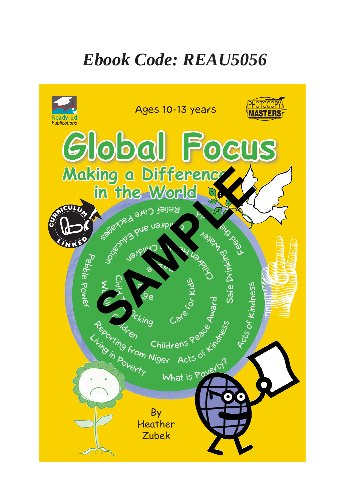## *Ebook Code: REAU5056*

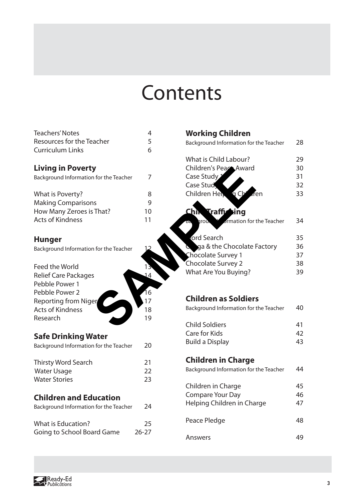# Contents

| <b>Teachers' Notes</b>                 | 4         |
|----------------------------------------|-----------|
| Resources for the Teacher              | 5         |
| <b>Curriculum Links</b>                | 6         |
|                                        |           |
| <b>Living in Poverty</b>               |           |
| Background Information for the Teacher | 7         |
|                                        |           |
| What is Poverty?                       | 8         |
| <b>Making Comparisons</b>              | 9         |
|                                        | 10        |
| How Many Zeroes is That?               |           |
| <b>Acts of Kindness</b>                | 11        |
|                                        |           |
| <b>Hunger</b>                          |           |
| Background Information for the Teacher |           |
|                                        |           |
| <b>Feed the World</b>                  |           |
| <b>Relief Care Packages</b>            | 14        |
| Pebble Power 1                         |           |
| Pebble Power 2                         | 16        |
|                                        | 17        |
| <b>Reporting from Niger</b>            |           |
| <b>Acts of Kindness</b>                | 18        |
| Research                               | 19        |
|                                        |           |
| <b>Safe Drinking Water</b>             |           |
| Background Information for the Teacher | 20        |
|                                        |           |
| <b>Thirsty Word Search</b>             | 21        |
| <b>Water Usage</b>                     | 22        |
| <b>Water Stories</b>                   | 23        |
|                                        |           |
| <b>Children and Education</b>          |           |
| Background Information for the Teacher | 24        |
|                                        |           |
| <b>What is Education?</b>              | 25        |
| Going to School Board Game             | $26 - 27$ |
|                                        |           |

| acher!            | 4<br>5<br>6 | <b>Working Children</b><br>Background Information for the Teacher | 28 |
|-------------------|-------------|-------------------------------------------------------------------|----|
|                   |             | What is Child Labour?                                             | 29 |
| y                 |             | Children's Peace Award                                            | 30 |
| n for the Teacher | 7           | Case Study <sub>2</sub>                                           | 31 |
|                   |             | Case Stud                                                         | 32 |
|                   | 8           | Children Help q Ch<br>fen                                         | 33 |
| าร                | 9           |                                                                   |    |
| That?             | 10          | Chin Traffy<br><b>k</b> ing                                       |    |
|                   | 11          | groun Y ormation for the Teacher                                  | 34 |
|                   |             | ord Search                                                        | 35 |
| n for the Teacher | 12          | <b>Q</b> qa & the Chocolate Factory                               | 36 |
|                   |             | <b>Chocolate Survey 1</b>                                         | 37 |
|                   |             | Chocolate Survey 2                                                | 38 |
|                   | 13<br>14    | What Are You Buying?                                              | 39 |
| s                 |             |                                                                   |    |
|                   | 16          | <b>Children as Soldiers</b>                                       |    |
| er                | 17          | Background Information for the Teacher                            | 40 |
|                   | 18          |                                                                   |    |
|                   | 19          | <b>Child Soldiers</b>                                             | 41 |
|                   |             | <b>Care for Kids</b>                                              | 42 |
| 'ater             |             | <b>Build a Display</b>                                            | 43 |
| n for the Teacher | 20          |                                                                   |    |
|                   | 21          | <b>Children in Charge</b>                                         |    |
|                   | 22          | Background Information for the Teacher                            | 44 |
|                   | 23          |                                                                   |    |
|                   |             | Children in Charge                                                | 45 |
| lucation          |             | <b>Compare Your Day</b>                                           | 46 |
| n for the Teacher | 24          | Helping Children in Charge                                        | 47 |
|                   |             |                                                                   |    |
|                   | 25          | Peace Pledge                                                      | 48 |
| ard Game          | 26-27       |                                                                   |    |
|                   |             | Answers                                                           | 49 |

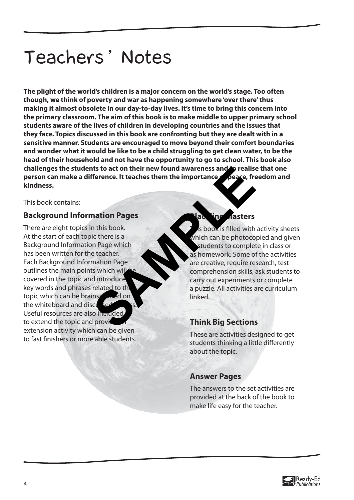# Teachers' Notes

**The plight of the world's children is a major concern on the world's stage. Too often though, we think of poverty and war as happening somewhere 'over there' thus making it almost obsolete in our day-to-day lives. It's time to bring this concern into the primary classroom. The aim of this book is to make middle to upper primary school students aware of the lives of children in developing countries and the issues that they face. Topics discussed in this book are confronting but they are dealt with in a sensitive manner. Students are encouraged to move beyond their comfort boundaries and wonder what it would be like to be a child struggling to get clean water, to be the head of their household and not have the opportunity to go to school. This book also**  challenges the students to act on their new found awareness and **o** realise that one **person can make a difference. It teaches them the importance of peace, freedom and kindness.** 

This book contains:

## **Background Information Pages**

There are eight topics in this book. At the start of each topic there is a Background Information Page which has been written for the teacher. Each Background Information Page outlines the main points which will covered in the topic and introduce key words and phrases related to th topic which can be brainstormed on the whiteboard and discussed Useful resources are also included. to extend the topic and provid extension activity which can be given to fast finishers or more able students. Think Big Sections<br>
SAMPLE CONTROLLED THINK ASSESS TO THE CONTROLLED THINK ASSESS TO THE CONTROLLED THINK AND CONTROLLED THINK AND CONTROLLED THINK ASSASSED THINK AND CONTROLLED THINK ASSASSED THINK AND CONTROLLED THINK AS

## **B**asters

s book is filled with activity sheets which can be photocopied and given students to complete in class or as homework. Some of the activities are creative, require research, test comprehension skills, ask students to carry out experiments or complete a puzzle. All activities are curriculum linked.

## **Think Big Sections**

These are activities designed to get students thinking a little differently about the topic.

## **Answer Pages**

The answers to the set activities are provided at the back of the book to make life easy for the teacher.

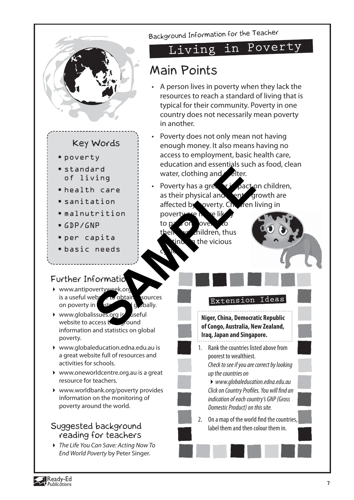

Ready-Ed  $\bar{\bullet}$  Publications

#### **7**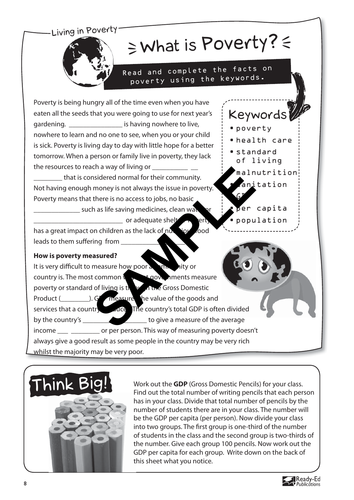## Living in Poverty

# $\geq$  What is Poverty?  $\leq$

• poverty

• standard of living

 $\mathsf{G}$ 

• health care

Keywords

• malnutrition

anitation

per capita • population

Read and complete the facts on poverty using the keywords.

Poverty is being hungry all of the time even when you have eaten all the seeds that you were going to use for next year's gardening. \_\_\_\_\_\_\_\_\_\_\_\_\_\_\_\_\_\_\_\_ is having nowhere to live, nowhere to learn and no one to see, when you or your child is sick. Poverty is living day to day with little hope for a better tomorrow. When a person or family live in poverty, they lack the resources to reach a way of living or

that is considered normal for their community. Not having enough money is not always the issue in poverty. Poverty means that there is no access to jobs, no basic

\_such as life saving medicines, clean wat or adequate shelt has a great impact on children as the lack of nurritious food

leads to them suffering from

## **How is poverty measured?**

It is very difficult to measure how poor a country is. The most common  $\sqrt{y}$  that governments measure poverty or standard of living is the  $\mu$  the Gross Domestic Product (\_\_\_\_\_\_\_\_\_\_\_). GDP measures the value of the goods and services that a country produce The country's total GDP is often divided by the country's \_\_\_\_\_\_\_\_\_\_\_\_\_\_\_\_\_\_\_\_\_\_\_\_\_ to give a measure of the average income \_\_\_ \_\_\_\_\_\_\_\_ or per person. This way of measuring poverty doesn't always give a good result as some people in the country may be very rich whilst the majority may be very poor. Experiences to jobs, no basic<br>
Samply is not always the issue in poverty.<br>
There is no access to jobs, no basic<br>
there is no access to jobs, no basic<br>
or adequate shelt<br>
or adequate shelt<br>
or adequate shelt<br>
or adequate sh



Work out the **GDP** (Gross Domestic Pencils) for your class. Find out the total number of writing pencils that each person has in your class. Divide that total number of pencils by the number of students there are in your class. The number will be the GDP per capita (per person). Now divide your class into two groups. The first group is one-third of the number of students in the class and the second group is two-thirds of the number. Give each group 100 pencils. Now work out the GDP per capita for each group. Write down on the back of this sheet what you notice.

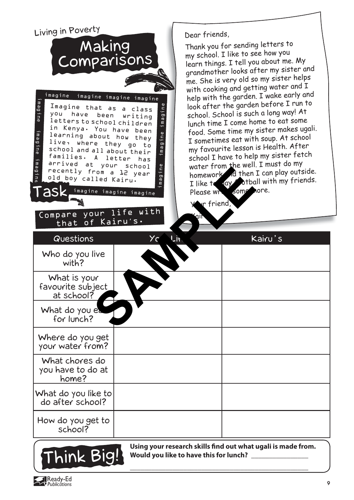Living in Poverty Dear friends, Making<br>Comparisons Thank you for sending letters to my school. I like to see how you learn things. I tell you about me. My grandmother looks after my sister an<sup>d</sup> me. She is very old so my sister helps with cooking and getting water and I help with the garden. I wake early and imagine imagine imagine imagine look after the garden before I run to imagine imagine imagine magine Imagine that as a class Class the conduction of the game in the species that it is the conduction of the conduction of the property of the conduction of the property of the property of the property of the school of the special that  $A$  is the spe school. School is such a long way! At you have been writing lunch time I come home to eat some letters to school children in Kenya. You have been food. Some time my sister makes ugali. imagine learning about how they I sometimes eat with soup. At school live, where they go to my favourite lesson is Health. After school and all about their<br>families. A letter has school I have to help my sister fetch A letter has gewi water from the well. I must do my arrived at your school recently from a 12 year From a Le year<br>
I like t dy some work of then<br>
I like t dy some<br>
please write of the please write of the please write of the please write of the please write of the please write of the please write of the please write of t homework a then I can play outside. old boy called Kairu. I like to lay otball with my friends. Task imagine imagine imagine imagine Please write some nore. Your friend, Compare your life with 'air that of Kairu's. Questions Your Life Kairu's Who do you live with? What is your favourite subject at school? What do you ea for lunch? Where do you get your water from? What chores do you have to do at home? What do you like to do after school? How do you get to school?



Ready-Ed Publications

Using your research skills find out what ugali is made from. **Would you like to have this for lunch? \_\_\_\_\_\_\_\_\_\_\_\_\_\_\_\_**

**9**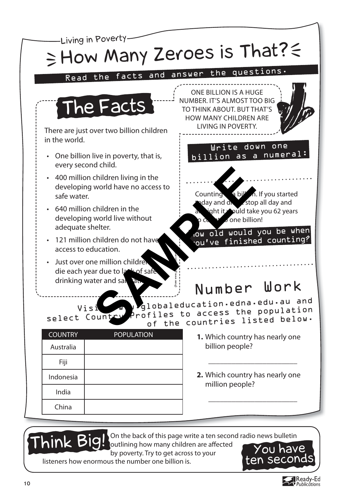

outlining how many children are affected by poverty. Try to get across to your

listeners how enormous the number one billion is.